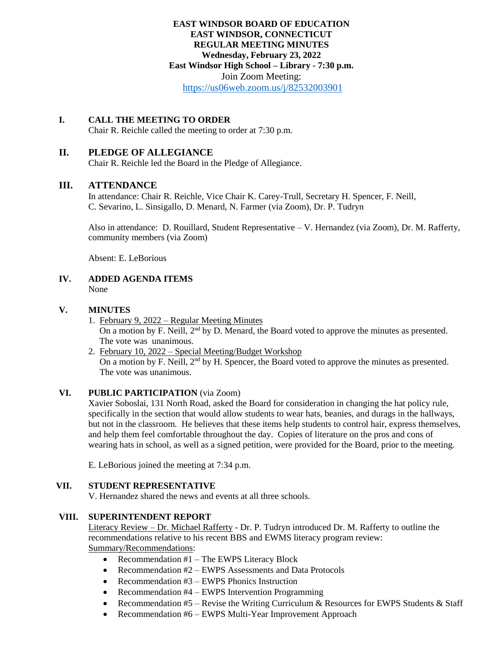## **EAST WINDSOR BOARD OF EDUCATION EAST WINDSOR, CONNECTICUT REGULAR MEETING MINUTES Wednesday, February 23, 2022 East Windsor High School – Library - 7:30 p.m.**  Join Zoom Meeting: <https://us06web.zoom.us/j/82532003901>

## **I. CALL THE MEETING TO ORDER**

Chair R. Reichle called the meeting to order at 7:30 p.m.

## **II. PLEDGE OF ALLEGIANCE**

Chair R. Reichle led the Board in the Pledge of Allegiance.

## **III. ATTENDANCE**

In attendance: Chair R. Reichle, Vice Chair K. Carey-Trull, Secretary H. Spencer, F. Neill, C. Sevarino, L. Sinsigallo, D. Menard, N. Farmer (via Zoom), Dr. P. Tudryn

Also in attendance: D. Rouillard, Student Representative – V. Hernandez (via Zoom), Dr. M. Rafferty, community members (via Zoom)

Absent: E. LeBorious

#### **IV. ADDED AGENDA ITEMS** None

#### **V. MINUTES**

- 1. February 9, 2022 Regular Meeting Minutes On a motion by F. Neill,  $2<sup>nd</sup>$  by D. Menard, the Board voted to approve the minutes as presented. The vote was unanimous.
- 2. February 10, 2022 Special Meeting/Budget Workshop On a motion by F. Neill, 2<sup>nd</sup> by H. Spencer, the Board voted to approve the minutes as presented. The vote was unanimous.

#### **VI. PUBLIC PARTICIPATION** (via Zoom)

Xavier Soboslai, 131 North Road, asked the Board for consideration in changing the hat policy rule, specifically in the section that would allow students to wear hats, beanies, and durags in the hallways, but not in the classroom. He believes that these items help students to control hair, express themselves, and help them feel comfortable throughout the day. Copies of literature on the pros and cons of wearing hats in school, as well as a signed petition, were provided for the Board, prior to the meeting.

E. LeBorious joined the meeting at 7:34 p.m.

#### **VII. STUDENT REPRESENTATIVE**

V. Hernandez shared the news and events at all three schools.

#### **VIII. SUPERINTENDENT REPORT**

Literacy Review – Dr. Michael Rafferty - Dr. P. Tudryn introduced Dr. M. Rafferty to outline the recommendations relative to his recent BBS and EWMS literacy program review: Summary/Recommendations:

- Recommendation #1 The EWPS Literacy Block
- Recommendation #2 EWPS Assessments and Data Protocols
- Recommendation #3 EWPS Phonics Instruction
- Recommendation #4 EWPS Intervention Programming
- Recommendation  $#5$  Revise the Writing Curriculum & Resources for EWPS Students & Staff
- Recommendation #6 EWPS Multi-Year Improvement Approach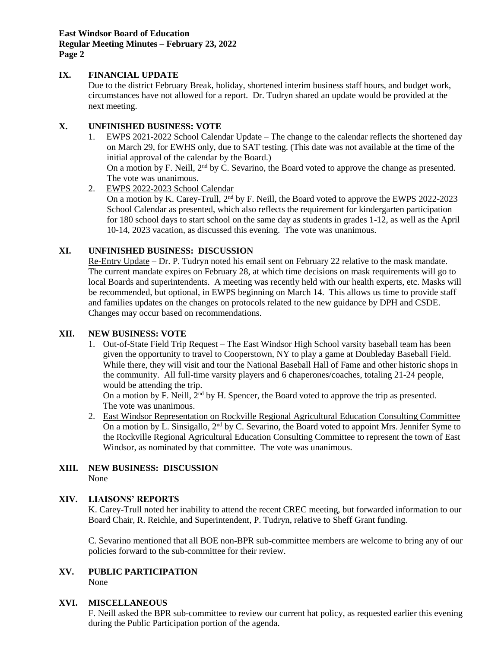**East Windsor Board of Education Regular Meeting Minutes – February 23, 2022 Page 2**

## **IX. FINANCIAL UPDATE**

Due to the district February Break, holiday, shortened interim business staff hours, and budget work, circumstances have not allowed for a report. Dr. Tudryn shared an update would be provided at the next meeting.

## **X. UNFINISHED BUSINESS: VOTE**

1. EWPS 2021-2022 School Calendar Update – The change to the calendar reflects the shortened day on March 29, for EWHS only, due to SAT testing. (This date was not available at the time of the initial approval of the calendar by the Board.) On a motion by F. Neill,  $2<sup>nd</sup>$  by C. Sevarino, the Board voted to approve the change as presented.

The vote was unanimous.

2. EWPS 2022-2023 School Calendar

On a motion by K. Carey-Trull, 2<sup>nd</sup> by F. Neill, the Board voted to approve the EWPS 2022-2023 School Calendar as presented, which also reflects the requirement for kindergarten participation for 180 school days to start school on the same day as students in grades 1-12, as well as the April 10-14, 2023 vacation, as discussed this evening. The vote was unanimous.

## **XI. UNFINISHED BUSINESS: DISCUSSION**

Re-Entry Update – Dr. P. Tudryn noted his email sent on February 22 relative to the mask mandate. The current mandate expires on February 28, at which time decisions on mask requirements will go to local Boards and superintendents. A meeting was recently held with our health experts, etc. Masks will be recommended, but optional, in EWPS beginning on March 14. This allows us time to provide staff and families updates on the changes on protocols related to the new guidance by DPH and CSDE. Changes may occur based on recommendations.

### **XII. NEW BUSINESS: VOTE**

1. Out-of-State Field Trip Request – The East Windsor High School varsity baseball team has been given the opportunity to travel to Cooperstown, NY to play a game at Doubleday Baseball Field. While there, they will visit and tour the National Baseball Hall of Fame and other historic shops in the community. All full-time varsity players and 6 chaperones/coaches, totaling 21-24 people, would be attending the trip.

On a motion by F. Neill,  $2<sup>nd</sup>$  by H. Spencer, the Board voted to approve the trip as presented. The vote was unanimous.

2. East Windsor Representation on Rockville Regional Agricultural Education Consulting Committee On a motion by L. Sinsigallo,  $2<sup>nd</sup>$  by C. Sevarino, the Board voted to appoint Mrs. Jennifer Syme to the Rockville Regional Agricultural Education Consulting Committee to represent the town of East Windsor, as nominated by that committee. The vote was unanimous.

#### **XIII. NEW BUSINESS: DISCUSSION** None

## **XIV. LIAISONS' REPORTS**

K. Carey-Trull noted her inability to attend the recent CREC meeting, but forwarded information to our Board Chair, R. Reichle, and Superintendent, P. Tudryn, relative to Sheff Grant funding.

C. Sevarino mentioned that all BOE non-BPR sub-committee members are welcome to bring any of our policies forward to the sub-committee for their review.

# **XV. PUBLIC PARTICIPATION**

None

#### **XVI. MISCELLANEOUS**

F. Neill asked the BPR sub-committee to review our current hat policy, as requested earlier this evening during the Public Participation portion of the agenda.